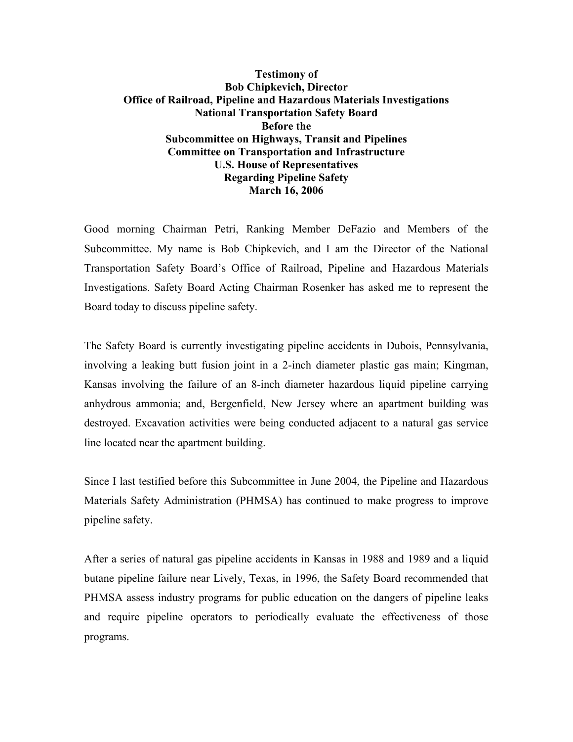## **Testimony of Bob Chipkevich, Director Office of Railroad, Pipeline and Hazardous Materials Investigations National Transportation Safety Board Before the Subcommittee on Highways, Transit and Pipelines Committee on Transportation and Infrastructure U.S. House of Representatives Regarding Pipeline Safety March 16, 2006**

Good morning Chairman Petri, Ranking Member DeFazio and Members of the Subcommittee. My name is Bob Chipkevich, and I am the Director of the National Transportation Safety Board's Office of Railroad, Pipeline and Hazardous Materials Investigations. Safety Board Acting Chairman Rosenker has asked me to represent the Board today to discuss pipeline safety.

The Safety Board is currently investigating pipeline accidents in Dubois, Pennsylvania, involving a leaking butt fusion joint in a 2-inch diameter plastic gas main; Kingman, Kansas involving the failure of an 8-inch diameter hazardous liquid pipeline carrying anhydrous ammonia; and, Bergenfield, New Jersey where an apartment building was destroyed. Excavation activities were being conducted adjacent to a natural gas service line located near the apartment building.

Since I last testified before this Subcommittee in June 2004, the Pipeline and Hazardous Materials Safety Administration (PHMSA) has continued to make progress to improve pipeline safety.

After a series of natural gas pipeline accidents in Kansas in 1988 and 1989 and a liquid butane pipeline failure near Lively, Texas, in 1996, the Safety Board recommended that PHMSA assess industry programs for public education on the dangers of pipeline leaks and require pipeline operators to periodically evaluate the effectiveness of those programs.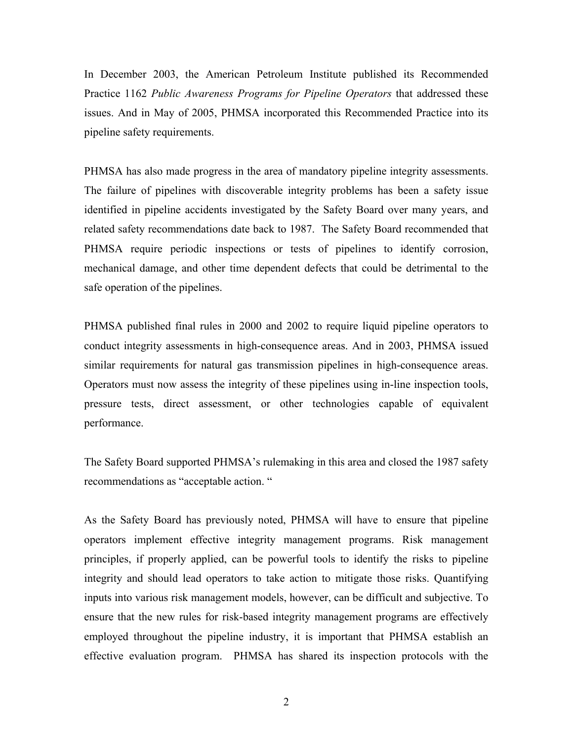In December 2003, the American Petroleum Institute published its Recommended Practice 1162 *Public Awareness Programs for Pipeline Operators* that addressed these issues. And in May of 2005, PHMSA incorporated this Recommended Practice into its pipeline safety requirements.

PHMSA has also made progress in the area of mandatory pipeline integrity assessments. The failure of pipelines with discoverable integrity problems has been a safety issue identified in pipeline accidents investigated by the Safety Board over many years, and related safety recommendations date back to 1987. The Safety Board recommended that PHMSA require periodic inspections or tests of pipelines to identify corrosion, mechanical damage, and other time dependent defects that could be detrimental to the safe operation of the pipelines.

PHMSA published final rules in 2000 and 2002 to require liquid pipeline operators to conduct integrity assessments in high-consequence areas. And in 2003, PHMSA issued similar requirements for natural gas transmission pipelines in high-consequence areas. Operators must now assess the integrity of these pipelines using in-line inspection tools, pressure tests, direct assessment, or other technologies capable of equivalent performance.

The Safety Board supported PHMSA's rulemaking in this area and closed the 1987 safety recommendations as "acceptable action. "

As the Safety Board has previously noted, PHMSA will have to ensure that pipeline operators implement effective integrity management programs. Risk management principles, if properly applied, can be powerful tools to identify the risks to pipeline integrity and should lead operators to take action to mitigate those risks. Quantifying inputs into various risk management models, however, can be difficult and subjective. To ensure that the new rules for risk-based integrity management programs are effectively employed throughout the pipeline industry, it is important that PHMSA establish an effective evaluation program. PHMSA has shared its inspection protocols with the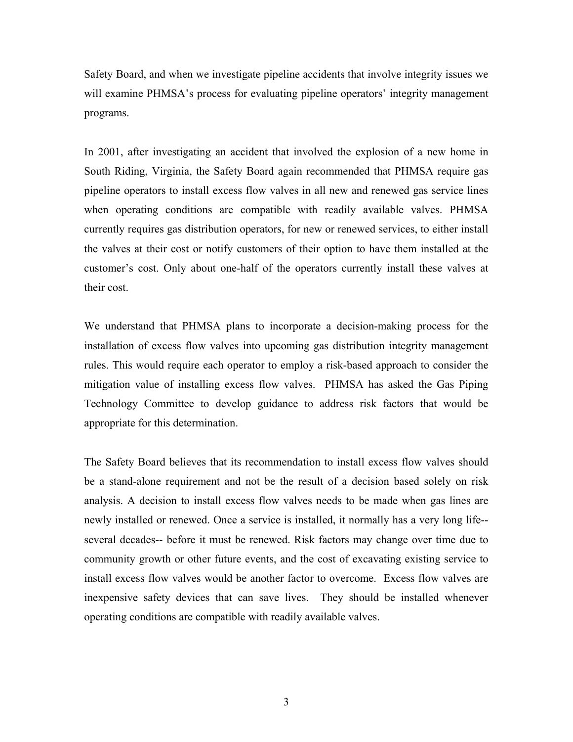Safety Board, and when we investigate pipeline accidents that involve integrity issues we will examine PHMSA's process for evaluating pipeline operators' integrity management programs.

In 2001, after investigating an accident that involved the explosion of a new home in South Riding, Virginia, the Safety Board again recommended that PHMSA require gas pipeline operators to install excess flow valves in all new and renewed gas service lines when operating conditions are compatible with readily available valves. PHMSA currently requires gas distribution operators, for new or renewed services, to either install the valves at their cost or notify customers of their option to have them installed at the customer's cost. Only about one-half of the operators currently install these valves at their cost.

We understand that PHMSA plans to incorporate a decision-making process for the installation of excess flow valves into upcoming gas distribution integrity management rules. This would require each operator to employ a risk-based approach to consider the mitigation value of installing excess flow valves. PHMSA has asked the Gas Piping Technology Committee to develop guidance to address risk factors that would be appropriate for this determination.

The Safety Board believes that its recommendation to install excess flow valves should be a stand-alone requirement and not be the result of a decision based solely on risk analysis. A decision to install excess flow valves needs to be made when gas lines are newly installed or renewed. Once a service is installed, it normally has a very long life- several decades-- before it must be renewed. Risk factors may change over time due to community growth or other future events, and the cost of excavating existing service to install excess flow valves would be another factor to overcome. Excess flow valves are inexpensive safety devices that can save lives. They should be installed whenever operating conditions are compatible with readily available valves.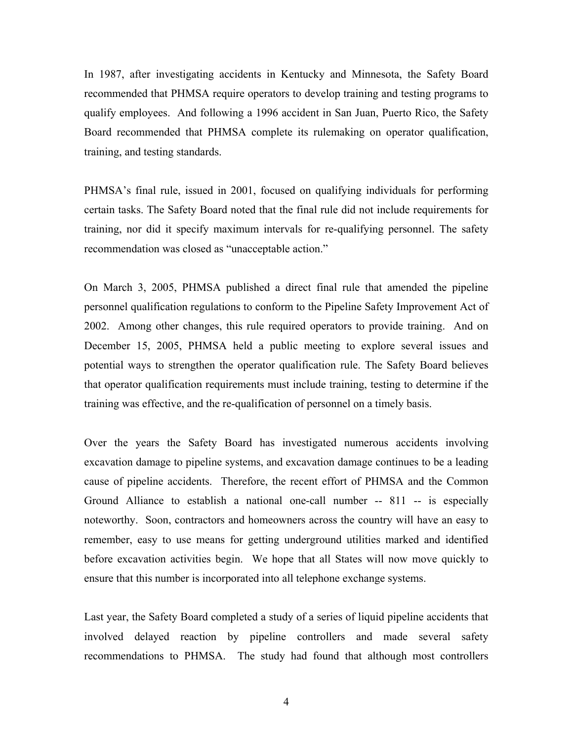In 1987, after investigating accidents in Kentucky and Minnesota, the Safety Board recommended that PHMSA require operators to develop training and testing programs to qualify employees. And following a 1996 accident in San Juan, Puerto Rico, the Safety Board recommended that PHMSA complete its rulemaking on operator qualification, training, and testing standards.

PHMSA's final rule, issued in 2001, focused on qualifying individuals for performing certain tasks. The Safety Board noted that the final rule did not include requirements for training, nor did it specify maximum intervals for re-qualifying personnel. The safety recommendation was closed as "unacceptable action."

On March 3, 2005, PHMSA published a direct final rule that amended the pipeline personnel qualification regulations to conform to the Pipeline Safety Improvement Act of 2002. Among other changes, this rule required operators to provide training. And on December 15, 2005, PHMSA held a public meeting to explore several issues and potential ways to strengthen the operator qualification rule. The Safety Board believes that operator qualification requirements must include training, testing to determine if the training was effective, and the re-qualification of personnel on a timely basis.

Over the years the Safety Board has investigated numerous accidents involving excavation damage to pipeline systems, and excavation damage continues to be a leading cause of pipeline accidents. Therefore, the recent effort of PHMSA and the Common Ground Alliance to establish a national one-call number -- 811 -- is especially noteworthy. Soon, contractors and homeowners across the country will have an easy to remember, easy to use means for getting underground utilities marked and identified before excavation activities begin. We hope that all States will now move quickly to ensure that this number is incorporated into all telephone exchange systems.

Last year, the Safety Board completed a study of a series of liquid pipeline accidents that involved delayed reaction by pipeline controllers and made several safety recommendations to PHMSA. The study had found that although most controllers